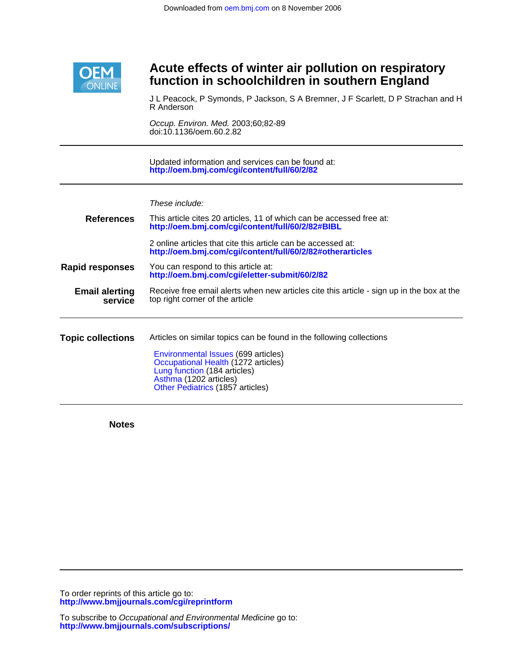

## **function in schoolchildren in southern England Acute effects of winter air pollution on respiratory**

R Anderson J L Peacock, P Symonds, P Jackson, S A Bremner, J F Scarlett, D P Strachan and H

doi:10.1136/oem.60.2.82 Occup. Environ. Med. 2003;60;82-89

**<http://oem.bmj.com/cgi/content/full/60/2/82>** Updated information and services can be found at:

These include:

| <b>References</b>                | This article cites 20 articles, 11 of which can be accessed free at:<br>http://oem.bmj.com/cgi/content/full/60/2/82#BIBL                                                                                                                         |
|----------------------------------|--------------------------------------------------------------------------------------------------------------------------------------------------------------------------------------------------------------------------------------------------|
|                                  | 2 online articles that cite this article can be accessed at:<br>http://oem.bmj.com/cgi/content/full/60/2/82#otherarticles                                                                                                                        |
| Rapid responses                  | You can respond to this article at:<br>http://oem.bmj.com/cgi/eletter-submit/60/2/82                                                                                                                                                             |
| <b>Email alerting</b><br>service | Receive free email alerts when new articles cite this article - sign up in the box at the<br>top right corner of the article                                                                                                                     |
| <b>Topic collections</b>         | Articles on similar topics can be found in the following collections<br>Environmental Issues (699 articles)<br>Occupational Health (1272 articles)<br>Lung function (184 articles)<br>Asthma (1202 articles)<br>Other Pediatrics (1857 articles) |

**Notes**

**<http://www.bmjjournals.com/cgi/reprintform>** To order reprints of this article go to: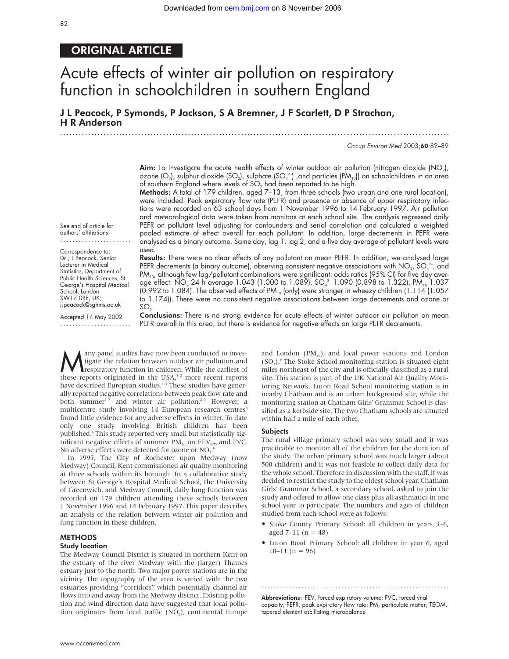## ORIGINAL ARTICLE

# Acute effects of winter air pollution on respiratory function in schoolchildren in southern England

J L Peacock, P Symonds, P Jackson, S A Bremner, J F Scarlett, D P Strachan, H R Anderson .............................................................................................................................

Occup Environ Med 2003;60:82–89

**Aim:** To investigate the acute health effects of winter outdoor air pollution (nitrogen dioxide  $(NO<sub>2</sub>)$ , ozone (O $_{3}$ ), sulphur dioxide (SO $_{2}$ ), sulphate (SO $_{4}^{\,2-}$ ) ,and particles (PM $_{\rm lo}$ )) on schoolchildren in an area of southern England where levels of  $SO<sub>2</sub>$  had been reported to be high.

Methods: A total of 179 children, aged 7-13, from three schools (two urban and one rural location), were included. Peak expiratory flow rate (PEFR) and presence or absence of upper respiratory infections were recorded on 63 school days from 1 November 1996 to 14 February 1997. Air pollution and meteorological data were taken from monitors at each school site. The analysis regressed daily PEFR on pollutant level adjusting for confounders and serial correlation and calculated a weighted pooled estimate of effect overall for each pollutant. In addition, large decrements in PEFR were analysed as a binary outcome. Same day, lag 1, lag 2, and a five day average of pollutant levels were used.

See end of article for authors' affiliations .......................

Correspondence to: Dr J L Peacock, Senior Lecturer in Medical Statistics, Department of Public Health Sciences, St George's Hospital Medical School, London SW17 0RE, UK; j.peacock@sghms.ac.uk

Accepted 14 May 2002 .......................

Results: There were no clear effects of any pollutant on mean PEFR. In addition, we analysed large <code>PEFR</code> decrements (a binary outcome), observing consistent negative associations with NO $_2$ , SO $_4^{2-}$ , and PM<sub>10</sub>, although few lag/pollutant combinations were significant: odds ratios (95% CI) for five day average effect: NO $_2$  24 h average 1.043 (1.000 to 1.089), SO $_4^{\rm 2-}$  1.090 (0.898 to 1.322), PM $_{\rm 10}$  1.037 (0.992 to 1.084). The observed effects of PM<sub>10</sub> (only) were stronger in wheezy children (1.114 (1.057 to 1.174)). There were no consistent negative associations between large decrements and ozone or  $SO<sub>2</sub>$ .

Conclusions: There is no strong evidence for acute effects of winter outdoor air pollution on mean PEFR overall in this area, but there is evidence for negative effects on large PEFR decrements.

**Many panel studies have now been conducted to inves-**<br>tigate the relation between outdoor air pollution and<br>these reports originated in the USA<sup>12</sup> more recent reports tigate the relation between outdoor air pollution and these reports originated in the USA, $12$  more recent reports have described European studies.<sup>3-5</sup> These studies have generally reported negative correlations between peak flow rate and both summer<sup>67</sup> and winter air pollution.<sup>25</sup> However, a multicentre study involving 14 European research centres<sup>8</sup> found little evidence for any adverse effects in winter. To date only one study involving British children has been published.<sup>6</sup> This study reported very small but statistically significant negative effects of summer  $PM_{10}$  on  $FEV_{0.75}$  and FVC. No adverse effects were detected for ozone or NO<sub>2</sub>. 6

In 1995, The City of Rochester upon Medway (now Medway) Council, Kent commissioned air quality monitoring at three schools within its borough. In a collaborative study between St George's Hospital Medical School, the University of Greenwich, and Medway Council, daily lung function was recorded on 179 children attending these schools between 1 November 1996 and 14 February 1997. This paper describes an analysis of the relation between winter air pollution and lung function in these children.

#### METHODS

#### Study location

The Medway Council District is situated in northern Kent on the estuary of the river Medway with the (larger) Thames estuary just to the north. Two major power stations are in the vicinity. The topography of the area is varied with the two estuaries providing "corridors" which potentially channel air flows into and away from the Medway district. Existing pollution and wind direction data have suggested that local pollution originates from local traffic  $(NO<sub>2</sub>)$ , continental Europe

and London  $(PM_{10})$ , and local power stations and London  $(SO<sub>2</sub>)$ .<sup>9</sup> The Stoke School monitoring station is situated eight miles northeast of the city and is officially classified as a rural site. This station is part of the UK National Air Quality Monitoring Network. Luton Road School monitoring station is in nearby Chatham and is an urban background site, while the monitoring station at Chatham Girls' Grammar School is classified as a kerbside site. The two Chatham schools are situated within half a mile of each other.

#### Subjects

The rural village primary school was very small and it was practicable to monitor all of the children for the duration of the study. The urban primary school was much larger (about 500 children) and it was not feasible to collect daily data for the whole school. Therefore in discussion with the staff, it was decided to restrict the study to the oldest school year. Chatham Girls' Grammar School, a secondary school, asked to join the study and offered to allow one class plus all asthmatics in one school year to participate. The numbers and ages of children studied from each school were as follows:

- Stoke County Primary School: all children in years 3–6, aged  $7-11$  (n = 48)
- Luton Road Primary School: all children in year 6, aged  $10-11$  (n = 96)

Abbreviations: FEV, forced expiratory volume; FVC, forced vital capacity; PEFR, peak expiratory flow rate; PM, particulate matter; TEOM, tapered element oscillating microbalance

.............................................................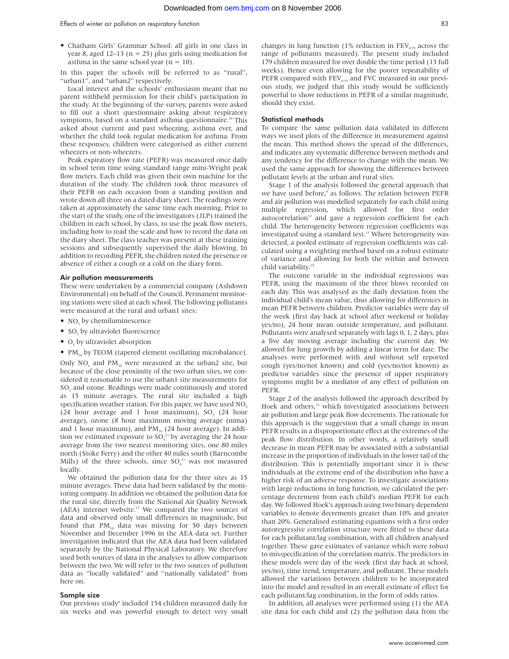• Chatham Girls' Grammar School: all girls in one class in year 8, aged 12–13 ( $n = 25$ ) plus girls using medication for asthma in the same school year ( $n = 10$ ).

In this paper the schools will be referred to as "rural", "urban1", and "urban2" respectively.

Local interest and the schools' enthusiasm meant that no parent withheld permission for their child's participation in the study. At the beginning of the survey, parents were asked to fill out a short questionnaire asking about respiratory symptoms, based on a standard asthma questionnaire.<sup>10</sup> This asked about current and past wheezing, asthma ever, and whether the child took regular medication for asthma. From these responses, children were categorised as either current wheezers or non-wheezers.

Peak expiratory flow rate (PEFR) was measured once daily in school term time using standard range mini-Wright peak flow meters. Each child was given their own machine for the duration of the study. The children took three measures of their PEFR on each occasion from a standing position and wrote down all three on a dated diary sheet. The readings were taken at approximately the same time each morning. Prior to the start of the study, one of the investigators (JLP) trained the children in each school, by class, to use the peak flow meters, including how to read the scale and how to record the data on the diary sheet. The class teacher was present at these training sessions and subsequently supervised the daily blowing. In addition to recording PEFR, the children noted the presence or absence of either a cough or a cold on the diary form.

#### Air pollution measurements

These were undertaken by a commercial company (Ashdown Environmental) on behalf of the Council. Permanent monitoring stations were sited at each school. The following pollutants were measured at the rural and urban1 sites:

- $\bullet$  NO<sub>x</sub> by chemiluminescence
- SO, by ultraviolet fluorescence
- $\bullet$  O<sub>3</sub> by ultraviolet absorption
- $PM_{10}$  by TEOM (tapered element oscillating microbalance).

Only NO<sub>x</sub> and PM<sub>10</sub> were measured at the urban2 site, but because of the close proximity of the two urban sites, we considered it reasonable to use the urban1 site measurements for SO<sub>2</sub> and ozone. Readings were made continuously and stored as 15 minute averages. The rural site included a high specification weather station. For this paper, we have used NO.  $(24$  hour average and 1 hour maximum), SO<sub>2</sub> (24 hour average), ozone (8 hour maximum moving average (mma) and 1 hour maximum), and  $PM_{10}$  (24 hour average). In addition we estimated exposure to  $SO_4^2$  by averaging the 24 hour average from the two nearest monitoring sites, one 80 miles north (Stoke Ferry) and the other 40 miles south (Barncombe Mills) of the three schools, since  $SO_4^2$  was not measured locally.

We obtained the pollution data for the three sites as 15 minute averages. These data had been validated by the monitoring company. In addition we obtained the pollution data for the rural site, directly from the National Air Quality Network  $(AEA)$  internet website.<sup>11</sup> We compared the two sources of data and observed only small differences in magnitude, but found that  $PM_{10}$  data was missing for 50 days between November and December 1996 in the AEA data set. Further investigation indicated that the AEA data had been validated separately by the National Physical Laboratory. We therefore used both sources of data in the analyses to allow comparison between the two. We will refer to the two sources of pollution data as "locally validated" and "nationally validated" from here on.

#### Sample size

Our previous study<sup>6</sup> included 154 children measured daily for six weeks and was powerful enough to detect very small changes in lung function (1% reduction in  $FEV_{0.75}$  across the range of pollutants measured). The present study included 179 children measured for over double the time period (13 full weeks). Hence even allowing for the poorer repeatability of PEFR compared with  $FEV_{0.75}$  and FVC measured in our previous study, we judged that this study would be sufficiently powerful to show reductions in PEFR of a similar magnitude, should they exist.

#### Statistical methods

To compare the same pollution data validated in different ways we used plots of the difference in measurement against the mean. This method shows the spread of the differences, and indicates any systematic difference between methods and any tendency for the difference to change with the mean. We used the same approach for showing the differences between pollutant levels at the urban and rural sites.

Stage 1 of the analysis followed the general approach that we have used before,<sup>6</sup> as follows. The relation between PEFR and air pollution was modelled separately for each child using multiple regression, which allowed for first order autocorrelation $12$  and gave a regression coefficient for each child. The heterogeneity between regression coefficients was investigated using a standard test.<sup>13</sup> Where heterogeneity was detected, a pooled estimate of regression coefficients was calculated using a weighting method based on a robust estimate of variance and allowing for both the within and between child variability.<sup>14</sup>

The outcome variable in the individual regressions was PEFR, using the maximum of the three blows recorded on each day. This was analysed as the daily deviation from the individual child's mean value, thus allowing for differences in mean PEFR between children. Predictor variables were day of the week (first day back at school after weekend or holiday yes/no), 24 hour mean outside temperature, and pollutant. Pollutants were analysed separately with lags 0, 1, 2 days, plus a five day moving average including the current day. We allowed for lung growth by adding a linear term for date. The analyses were performed with and without self reported cough (yes/no/not known) and cold (yes/no/not known) as predictor variables since the presence of upper respiratory symptoms might be a mediator of any effect of pollution on PEFR.

Stage 2 of the analysis followed the approach described by Hoek and others,<sup>15</sup> which investigated associations between air pollution and large peak flow decrements. The rationale for this approach is the suggestion that a small change in mean PEFR results in a disproportionate effect at the extremes of the peak flow distribution. In other words, a relatively small decrease in mean PEFR may be associated with a substantial increase in the proportion of individuals in the lower tail of the distribution. This is potentially important since it is these individuals at the extreme end of the distribution who have a higher risk of an adverse response. To investigate associations with large reductions in lung function, we calculated the percentage decrement from each child's median PEFR for each day. We followed Hoek's approach using two binary dependent variables to denote decrements greater than 10% and greater than 20%. Generalised estimating equations with a first order autoregressive correlation structure were fitted to these data for each pollutant/lag combination, with all children analysed together. These gave estimates of variance which were robust to misspecification of the correlation matrix. The predictors in these models were day of the week (first day back at school, yes/no), time trend, temperature, and pollutant. These models allowed the variations between children to be incorporated into the model and resulted in an overall estimate of effect for each pollutant/lag combination, in the form of odds ratios.

In addition, all analyses were performed using (1) the AEA site data for each child and (2) the pollution data from the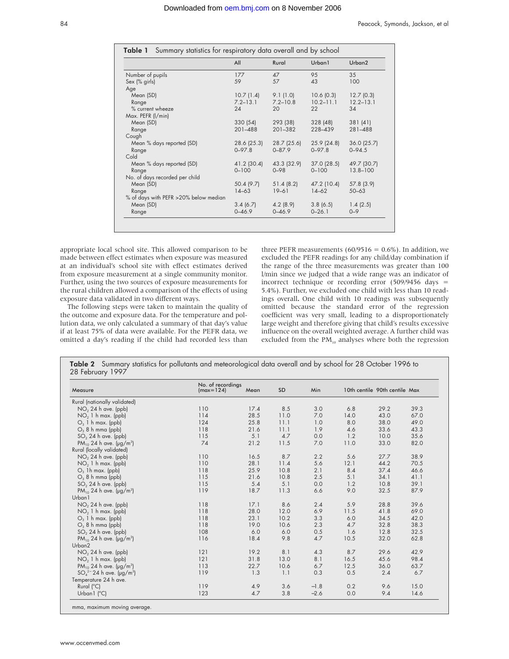|                                        | All          | Rural        | Urban1        | Urban <sub>2</sub> |
|----------------------------------------|--------------|--------------|---------------|--------------------|
| Number of pupils                       | 177          | 47           | 95            | 35                 |
| Sex (% girls)                          | 59           | 57           | 43            | 100                |
| Age                                    |              |              |               |                    |
| Mean (SD)                              | 10.7(1.4)    | 9.1(1.0)     | 10.6(0.3)     | 12.7(0.3)          |
| Range                                  | $7.2 - 13.1$ | $7.2 - 10.8$ | $10.2 - 11.1$ | $12.2 - 13.1$      |
| % current wheeze                       | 24           | 20           | 22            | 34                 |
| Max. PEFR (I/min)                      |              |              |               |                    |
| Mean (SD)                              | 330 (54)     | 293 (38)     | 328 (48)      | 381(41)            |
| Range                                  | $201 - 488$  | 201-382      | 228-439       | 281-488            |
| Cough                                  |              |              |               |                    |
| Mean % days reported (SD)              | 28.6 (25.3)  | 28.7 (25.6)  | 25.9(24.8)    | $36.0$ (25.7)      |
| Range                                  | $0 - 97.8$   | $0 - 87.9$   | $0 - 97.8$    | $0 - 94.5$         |
| Cold                                   |              |              |               |                    |
| Mean % days reported (SD)              | 41.2 (30.4)  | 43.3 (32.9)  | $37.0$ (28.5) | 49.7 (30.7)        |
| Range                                  | $0 - 100$    | $0 - 98$     | $0 - 100$     | $13.8 - 100$       |
| No. of days recorded per child         |              |              |               |                    |
| Mean (SD)                              | 50.4 (9.7)   | 51.4(8.2)    | 47.2 (10.4)   | 57.8(3.9)          |
| Range                                  | $14 - 63$    | $19 - 61$    | $14 - 62$     | $50 - 63$          |
| % of days with PEFR > 20% below median |              |              |               |                    |
| Mean (SD)                              | 3.4(6.7)     | 4.2(8.9)     | 3.8(6.5)      | 1.4(2.5)           |
| Range                                  | $0 - 46.9$   | $0 - 46.9$   | $0 - 26.1$    | $0 - 9$            |

appropriate local school site. This allowed comparison to be made between effect estimates when exposure was measured at an individual's school site with effect estimates derived from exposure measurement at a single community monitor. Further, using the two sources of exposure measurements for the rural children allowed a comparison of the effects of using exposure data validated in two different ways.

The following steps were taken to maintain the quality of the outcome and exposure data. For the temperature and pollution data, we only calculated a summary of that day's value if at least 75% of data were available. For the PEFR data, we omitted a day's reading if the child had recorded less than three PEFR measurements (60/9516 =  $0.6\%$ ). In addition, we excluded the PEFR readings for any child/day combination if the range of the three measurements was greater than 100 l/min since we judged that a wide range was an indicator of incorrect technique or recording error (509/9456 days = 5.4%). Further, we excluded one child with less than 10 readings overall**.** One child with 10 readings was subsequently omitted because the standard error of the regression coefficient was very small, leading to a disproportionately large weight and therefore giving that child's results excessive influence on the overall weighted average. A further child was excluded from the  $PM_{10}$  analyses where both the regression

|                                                | No. of recordings |      |      |        |       |                               |      |
|------------------------------------------------|-------------------|------|------|--------|-------|-------------------------------|------|
| Measure                                        | $(max=124)$       | Mean | SD   | Min    |       | 10th centile 90th centile Max |      |
| Rural (nationally validated)                   |                   |      |      |        |       |                               |      |
| $NO2 24 h$ ave. (ppb)                          | 110               | 17.4 | 8.5  | 3.0    | 6.8   | 29.2                          | 39.3 |
| $NO2$ 1 h max. (ppb)                           | 114               | 28.5 | 11.0 | 7.0    | 14.0  | 43.0                          | 67.0 |
| $O3$ 1 h max. (ppb)                            | 124               | 25.8 | 11.1 | 1.0    | 8.0   | 38.0                          | 49.0 |
| $O_3$ 8 h mma (ppb)                            | 118               | 21.6 | 11.1 | 1.9    | 4.6   | 33.6                          | 43.3 |
| $SO2 24 h$ ave. (ppb)                          | 115               | 5.1  | 4.7  | 0.0    | 1.2   | 10.0                          | 35.6 |
| $PM_{10}$ 24 h ave. ( $\mu$ g/m <sup>3</sup> ) | 74                | 21.2 | 11.5 | 7.0    | 11.0  | 33.0                          | 82.0 |
| Rural (locally validated)                      |                   |      |      |        |       |                               |      |
| $NO2 24 h$ ave. (ppb)                          | 110               | 16.5 | 8.7  | 2.2    | 5.6   | 27.7                          | 38.9 |
| $NO2$ 1 h max. (ppb)                           | 110               | 28.1 | 11.4 | 5.6    | 12.1  | 44.2                          | 70.5 |
| $O_3$ 1h max. (ppb)                            | 118               | 25.9 | 10.8 | 2.1    | 8.4   | 37.4                          | 46.6 |
| $O_3$ 8 h mma (ppb)                            | 115               | 21.6 | 10.8 | 2.5    | 5.1   | 34.1                          | 41.1 |
| $SO2 24 h$ ave. (ppb)                          | 115               | 5.4  | 5.1  | 0.0    | 1.2   | 10.8                          | 39.1 |
| $PM_{10}$ 24 h ave. ( $\mu$ g/m <sup>3</sup> ) | 119               | 18.7 | 11.3 | 6.6    | 9.0   | 32.5                          | 87.9 |
| Urban <sub>1</sub>                             |                   |      |      |        |       |                               |      |
| $NO2 24 h$ ave. (ppb)                          | 118               | 17.1 | 8.6  | 2.4    | 5.9   | 28.8                          | 39.6 |
| $NO2$ 1 h max. (ppb)                           | 118               | 28.0 | 12.0 | 6.9    | 11.5  | 41.8                          | 69.0 |
| $O3$ 1 h max. (ppb)                            | 118               | 23.1 | 10.2 | 3.3    | $6.0$ | 34.5                          | 42.0 |
| $O_3$ 8 h mma (ppb)                            | 118               | 19.0 | 10.6 | 2.3    | 4.7   | 32.8                          | 38.3 |
| $SO2 24 h$ ave. (ppb)                          | 108               | 6.0  | 6.0  | 0.5    | 1.6   | 12.8                          | 32.5 |
| $PM_{10}$ 24 h ave. ( $\mu$ g/m <sup>3</sup> ) | 116               | 18.4 | 9.8  | 4.7    | 10.5  | 32.0                          | 62.8 |
| Urban <sub>2</sub>                             |                   |      |      |        |       |                               |      |
| NO <sub>2</sub> 24 h ave. (ppb)                | 121               | 19.2 | 8.1  | 4.3    | 8.7   | 29.6                          | 42.9 |
| $NO2$ 1 h max. (ppb)                           | 121               | 31.8 | 13.0 | 8.1    | 16.5  | 45.6                          | 98.4 |
| $PM_{10}$ 24 h ave. ( $\mu$ g/m <sup>3</sup> ) | 113               | 22.7 | 10.6 | 6.7    | 12.5  | 36.0                          | 63.7 |
| $SO_4^{2-}$ 24 h ave. (µg/m <sup>3</sup> )     | 119               | 1.3  | 1.1  | 0.3    | 0.5   | 2.4                           | 6.7  |
| Temperature 24 h ave.                          |                   |      |      |        |       |                               |      |
| Rural $(^{\circ}C)$                            | 119               | 4.9  | 3.6  | $-1.8$ | 0.2   | 9.6                           | 15.0 |
| Urban $\lceil$ (°C)                            | 123               | 4.7  | 3.8  | $-2.6$ | 0.0   | 9.4                           | 14.6 |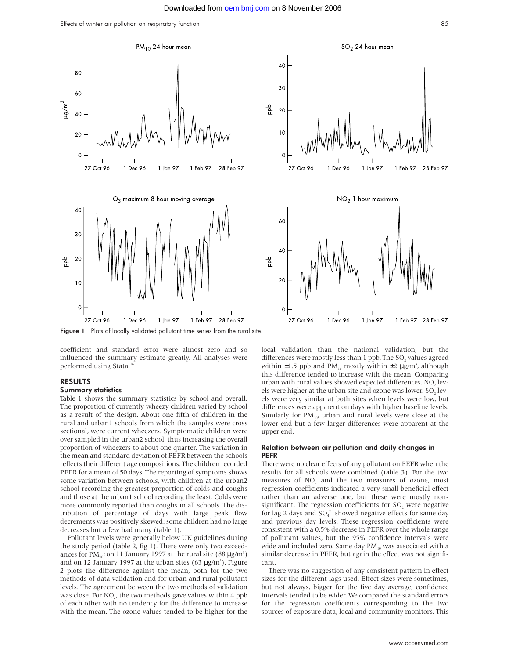Effects of winter air pollution on respiratory function 85



Figure 1 Plots of locally validated pollutant time series from the rural site.

coefficient and standard error were almost zero and so influenced the summary estimate greatly. All analyses were performed using Stata.16

#### RESULTS

#### Summary statistics

Table 1 shows the summary statistics by school and overall. The proportion of currently wheezy children varied by school as a result of the design. About one fifth of children in the rural and urban1 schools from which the samples were cross sectional, were current wheezers. Symptomatic children were over sampled in the urban2 school, thus increasing the overall proportion of wheezers to about one quarter. The variation in the mean and standard deviation of PEFR between the schools reflects their different age compositions. The children recorded PEFR for a mean of 50 days. The reporting of symptoms shows some variation between schools, with children at the urban2 school recording the greatest proportion of colds and coughs and those at the urban1 school recording the least. Colds were more commonly reported than coughs in all schools. The distribution of percentage of days with large peak flow decrements was positively skewed: some children had no large decreases but a few had many (table 1).

Pollutant levels were generally below UK guidelines during the study period (table 2, fig 1). There were only two exceedances for PM<sub>10</sub>: on 11 January 1997 at the rural site  $(88 \,\mu g/m^3)$ and on 12 January 1997 at the urban sites (63  $\mu$ g/m<sup>3</sup>). Figure 2 plots the difference against the mean, both for the two methods of data validation and for urban and rural pollutant levels. The agreement between the two methods of validation was close. For NO<sub>2</sub>, the two methods gave values within 4 ppb of each other with no tendency for the difference to increase with the mean. The ozone values tended to be higher for the







local validation than the national validation, but the differences were mostly less than 1 ppb. The SO<sub>2</sub> values agreed within  $\pm 1.5$  ppb and PM<sub>10</sub> mostly within  $\pm 2 \,\mu$ g/m<sup>3</sup>, although this difference tended to increase with the mean. Comparing urban with rural values showed expected differences. NO<sub>2</sub> levels were higher at the urban site and ozone was lower. SO, levels were very similar at both sites when levels were low, but differences were apparent on days with higher baseline levels. Similarly for  $PM_{10}$ , urban and rural levels were close at the lower end but a few larger differences were apparent at the upper end.

#### Relation between air pollution and daily changes in PEFR

There were no clear effects of any pollutant on PEFR when the results for all schools were combined (table 3). For the two measures of  $NO<sub>2</sub>$  and the two measures of ozone, most regression coefficients indicated a very small beneficial effect rather than an adverse one, but these were mostly nonsignificant. The regression coefficients for SO, were negative for lag 2 days and  $SO_4^{2-}$  showed negative effects for same day and previous day levels. These regression coefficients were consistent with a 0.5% decrease in PEFR over the whole range of pollutant values, but the 95% confidence intervals were wide and included zero. Same day  $PM_{10}$  was associated with a similar decrease in PEFR, but again the effect was not significant.

There was no suggestion of any consistent pattern in effect sizes for the different lags used. Effect sizes were sometimes, but not always, bigger for the five day average; confidence intervals tended to be wider. We compared the standard errors for the regression coefficients corresponding to the two sources of exposure data, local and community monitors. This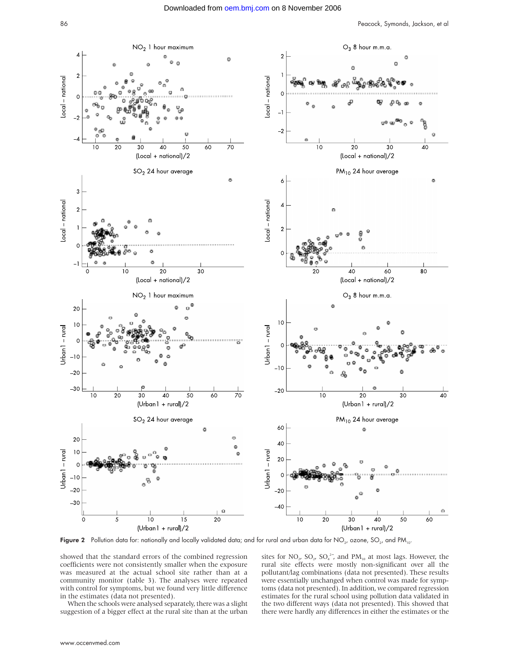

Figure 2 Pollution data for: nationally and locally validated data; and for rural and urban data for  $NO_2$ , ozone,  $SO_2$ , and PM<sub>10</sub>.

showed that the standard errors of the combined regression coefficients were not consistently smaller when the exposure was measured at the actual school site rather than at a community monitor (table 3). The analyses were repeated with control for symptoms, but we found very little difference in the estimates (data not presented).

When the schools were analysed separately, there was a slight suggestion of a bigger effect at the rural site than at the urban

sites for NO<sub>2</sub>, SO<sub>2</sub>, SO<sub>4</sub><sup>2</sup>, and PM<sub>10</sub> at most lags. However, the rural site effects were mostly non-significant over all the pollutant/lag combinations (data not presented). These results were essentially unchanged when control was made for symptoms (data not presented). In addition, we compared regression estimates for the rural school using pollution data validated in the two different ways (data not presented). This showed that there were hardly any differences in either the estimates or the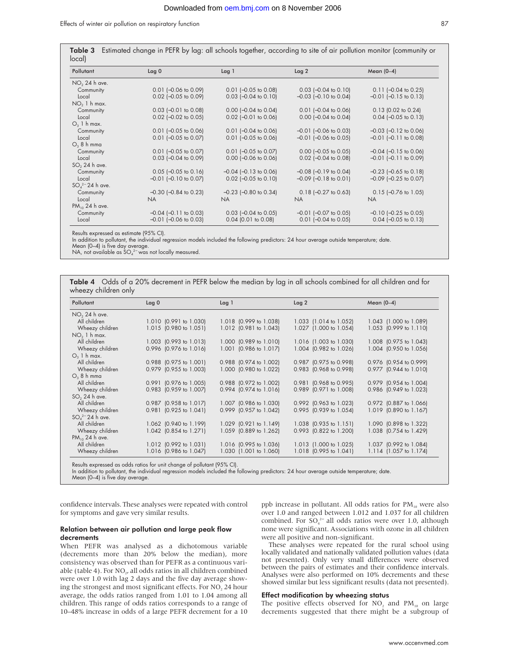| Pollutant              | $L$ ag 0                   | $L$ ag 1                   | $L$ ag 2                   | Mean $(0-4)$                |
|------------------------|----------------------------|----------------------------|----------------------------|-----------------------------|
| $NO2 24 h$ ave.        |                            |                            |                            |                             |
| Community              | $0.01$ (-0.06 to 0.09)     | $0.01$ (-0.05 to 0.08)     | $0.03$ (-0.04 to 0.10)     | $0.11$ (-0.04 to 0.25)      |
| Local                  | $0.02$ (-0.05 to 0.09)     | $0.03$ (-0.04 to 0.10)     | $-0.03$ $(-0.10$ to 0.04)  | $-0.01$ $(-0.15$ to 0.13)   |
| $NO2$ 1 h max.         |                            |                            |                            |                             |
| Community              | $0.03$ $[-0.01$ to $0.08]$ | $0.00$ (-0.04 to 0.04)     | $0.01$ $[-0.04$ to $0.06]$ | 0.13 (0.02 to 0.24)         |
| Local                  | $0.02$ (-0.02 to 0.05)     | $0.02$ (-0.01 to 0.06)     | $0.00$ (-0.04 to 0.04)     | $0.04$ (-0.05 to 0.13)      |
| $O_3$ 1 h max.         |                            |                            |                            |                             |
| Community              | $0.01$ (-0.05 to 0.06)     | $0.01$ (-0.04 to 0.06)     | $-0.01$ $(-0.06$ to 0.03   | $-0.03$ $[-0.12$ to 0.06    |
| Local                  | $0.01$ (-0.05 to 0.07)     | $0.01$ (-0.05 to 0.06)     | $-0.01$ $[-0.06$ to 0.05)  | $-0.01$ $(-0.11$ to 0.08)   |
| O <sub>2</sub> 8 h mma |                            |                            |                            |                             |
| Community              | $0.01$ (-0.05 to 0.07)     | $0.01$ (-0.05 to 0.07)     | $0.00$ (-0.05 to 0.05)     | $-0.04$ $(-0.15$ to 0.06)   |
| Local                  | $0.03$ (-0.04 to 0.09)     | $0.00$ (-0.06 to 0.06)     | $0.02$ (-0.04 to 0.08)     | $-0.01$ $(-0.11$ to 0.09)   |
| $SO2 24 h$ ave.        |                            |                            |                            |                             |
| Community              | $0.05$ (-0.05 to 0.16)     | $-0.04$ $(-0.13$ to 0.06)  | $-0.08$ $(-0.19$ to 0.04   | $-0.23$ $(-0.65$ to $0.18)$ |
| Local                  | $-0.01$ $(-0.10$ to 0.07)  | $0.02$ (-0.05 to 0.10)     | $-0.09$ $(-0.18$ to 0.01)  | $-0.09$ $(-0.25$ to 0.07)   |
| $SO_4^{2-}$ 24 h ave.  |                            |                            |                            |                             |
| Community              | $-0.30$ $(-0.84$ to 0.23)  | $-0.23$ ( $-0.80$ to 0.34) | $0.18$ (-0.27 to 0.63)     | $0.15$ (-0.76 to 1.05)      |
| Local                  | <b>NA</b>                  | <b>NA</b>                  | <b>NA</b>                  | <b>NA</b>                   |
| $PM_{10}$ 24 h ave.    |                            |                            |                            |                             |
| Community              | $-0.04$ $(-0.11$ to 0.03)  | $0.03$ (-0.04 to 0.05)     | $-0.01$ $[-0.07$ to 0.05)  | $-0.10$ $[-0.25$ to 0.05)   |
| Local                  | $-0.01$ $(-0.06$ to 0.03   | $0.04$ (0.01 to 0.08)      | $0.01$ $[-0.04$ to $0.05]$ | $0.04$ (-0.05 to 0.13)      |

Results expressed as estimate (95% CI).

In addition to pollutant, the individual regression models included the following predictors: 24 hour average outside temperature; date.

Mean (0–4) is five day average.

NA, not available as  $SO_4^2$ <sup>-</sup> was not locally measured.

|                      |  |  |  | Table 4 Odds of a 20% decrement in PEFR below the median by lag in all schools combined for all children and for |
|----------------------|--|--|--|------------------------------------------------------------------------------------------------------------------|
| wheezy children only |  |  |  |                                                                                                                  |

| Pollutant             | $L$ ag 0               | $L$ ag 1               | $L$ ag 2                 | Mean $(0-4)$           |
|-----------------------|------------------------|------------------------|--------------------------|------------------------|
| $NO2 24 h$ ave.       |                        |                        |                          |                        |
| All children          | 1.010 (0.991 to 1.030) | 1.018 (0.999 to 1.038) | 1.033 (1.014 to 1.052)   | 1.043 (1.000 to 1.089) |
| Wheezy children       | 1.015 (0.980 to 1.051) | 1.012 (0.981 to 1.043) | 1.027 (1.000 to 1.054)   | 1.053 (0.999 to 1.110) |
| $NO2$ 1 h max.        |                        |                        |                          |                        |
| All children          | 1.003 (0.993 to 1.013) | 1.000 (0.989 to 1.010) | 1.016 (1.003 to 1.030)   | 1.008 (0.975 to 1.043) |
| Wheezy children       | 0.996 (0.976 to 1.016) | 1.001 (0.986 to 1.017) | 1.004 (0.982 to 1.026)   | 1.004 (0.950 to 1.056) |
| $O_3$ 1 h max.        |                        |                        |                          |                        |
| All children          | 0.988 (0.975 to 1.001) | 0.988 (0.974 to 1.002) | 0.987 (0.975 to 0.998)   | 0.976 (0.954 to 0.999) |
| Wheezy children       | 0.979 (0.955 to 1.003) | 1.000 (0.980 to 1.022) | 0.983 (0.968 to 0.998)   | 0.977 (0.944 to 1.010) |
| $O2$ 8 h mma          |                        |                        |                          |                        |
| All children          | 0.991 (0.976 to 1.005) | 0.988 (0.972 to 1.002) | $0.981$ (0.968 to 0.995) | 0.979 (0.954 to 1.004) |
| Wheezy children       | 0.983 (0.959 to 1.007) | 0.994 (0.974 to 1.016) | 0.989 (0.971 to 1.008)   | 0.986 (0.949 to 1.023) |
| $SO2 24 h$ ave.       |                        |                        |                          |                        |
| All children          | 0.987 (0.958 to 1.017) | 1.007 (0.986 to 1.030) | 0.992 (0.963 to 1.023)   | 0.972 (0.887 to 1.066) |
| Wheezy children       | 0.981 (0.925 to 1.041) | 0.999 (0.957 to 1.042) | 0.995 (0.939 to 1.054)   | 1.019 (0.890 to 1.167) |
| $SO_4^{2-}$ 24 h ave. |                        |                        |                          |                        |
| All children          | 1.062 (0.940 to 1.199) | 1.029 (0.921 to 1.149) | 1.038 (0.935 to 1.151)   | 1.090 (0.898 to 1.322) |
| Wheezy children       | 1.042 (0.854 to 1.271) | 1.059 (0.889 to 1.262) | 0.993 (0.822 to 1.200)   | 1.038 (0.754 to 1.429) |
| $PM_{10}$ 24 h ave.   |                        |                        |                          |                        |
| All children          | 1.012 (0.992 to 1.031) | 1.016 (0.995 to 1.036) | 1.013 (1.000 to 1.025)   | 1.037 (0.992 to 1.084) |
| Wheezy children       | 1.016 (0.986 to 1.047) | 1.030 (1.001 to 1.060) | 1.018 (0.995 to 1.041)   | 1.114 (1.057 to 1.174) |

Results expressed as odds ratios for unit change of pollutant (95% CI).

In addition to pollutant, the individual regression models included the following predictors: 24 hour average outside temperature; date. Mean (0–4) is five day average.

confidence intervals. These analyses were repeated with control for symptoms and gave very similar results.

#### Relation between air pollution and large peak flow decrements

When PEFR was analysed as a dichotomous variable (decrements more than 20% below the median), more consistency was observed than for PEFR as a continuous variable (table 4). For NO<sub>2</sub>, all odds ratios in all children combined were over 1.0 with lag 2 days and the five day average showing the strongest and most significant effects. For NO, 24 hour average, the odds ratios ranged from 1.01 to 1.04 among all children. This range of odds ratios corresponds to a range of 10–48% increase in odds of a large PEFR decrement for a 10 ppb increase in pollutant. All odds ratios for  $PM_{10}$  were also over 1.0 and ranged between 1.012 and 1.037 for all children combined. For  $SO_4^2$  all odds ratios were over 1.0, although none were significant. Associations with ozone in all children were all positive and non-significant.

These analyses were repeated for the rural school using locally validated and nationally validated pollution values (data not presented). Only very small differences were observed between the pairs of estimates and their confidence intervals. Analyses were also performed on 10% decrements and these showed similar but less significant results (data not presented).

#### Effect modification by wheezing status

The positive effects observed for NO<sub>2</sub> and PM<sub>10</sub> on large decrements suggested that there might be a subgroup of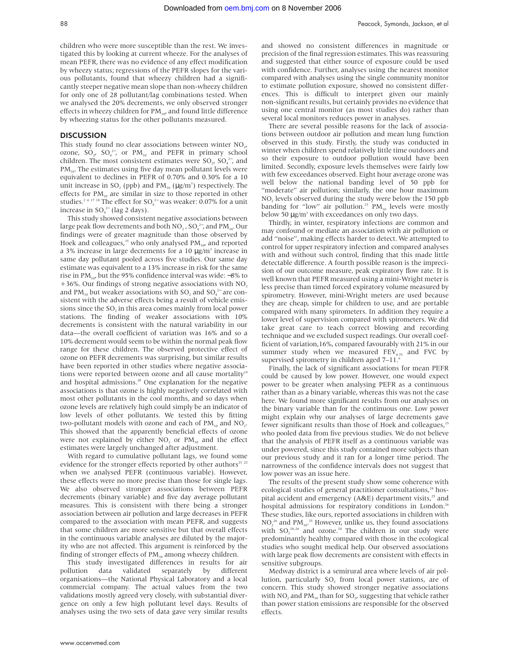children who were more susceptible than the rest. We investigated this by looking at current wheeze. For the analyses of mean PEFR, there was no evidence of any effect modification by wheezy status; regressions of the PEFR slopes for the various pollutants, found that wheezy children had a significantly steeper negative mean slope than non-wheezy children for only one of 28 pollutant/lag combinations tested. When we analysed the 20% decrements, we only observed stronger effects in wheezy children for  $PM_{10}$ , and found little difference by wheezing status for the other pollutants measured.

#### **DISCUSSION**

This study found no clear associations between winter NO<sub>2</sub>, ozone,  $SO_2$ ,  $SO_4^2$ , or  $PM_{10}$  and PEFR in primary school children. The most consistent estimates were  $SO_2$ ,  $SO_4^2$ , and  $PM_{10}$ . The estimates using five day mean pollutant levels were equivalent to declines in PEFR of 0.70% and 0.30% for a 10 unit increase in SO<sub>2</sub> (ppb) and PM<sub>10</sub> ( $\mu$ g/m<sup>3</sup>) respectively. The effects for  $PM_{10}$  are similar in size to those reported in other studies.<sup>24 17</sup> <sup>18</sup> The effect for  $\text{SO}_4^{2-}$  was weaker: 0.07% for a unit increase in  $SO_4^{2-}$  (lag 2 days).

This study showed consistent negative associations between large peak flow decrements and both  $\rm NO_2$  ,  $\rm SO_4^{\text{--}}$  , and  $\rm PM_{\text{10}}$ . Our findings were of greater magnitude than those observed by Hoek and colleagues,<sup>15</sup> who only analysed  $PM_{10}$  and reported a 3% increase in large decrements for a 10  $\mu$ g/m<sup>3</sup> increase in same day pollutant pooled across five studies. Our same day estimate was equivalent to a 13% increase in risk for the same rise in PM<sub>10</sub>, but the 95% confidence interval was wide: −8% to +36%. Our findings of strong negative associations with  $NO<sub>2</sub>$ and PM<sub>10</sub> but weaker associations with  $SO_2$  and  $SO_4^2$  are consistent with the adverse effects being a result of vehicle emissions since the SO<sub>2</sub> in this area comes mainly from local power stations. The finding of weaker associations with 10% decrements is consistent with the natural variability in our data—the overall coefficient of variation was 16% and so a 10% decrement would seem to be within the normal peak flow range for these children. The observed protective effect of ozone on PEFR decrements was surprising, but similar results have been reported in other studies where negative associations were reported between ozone and all cause mortality<sup>19</sup> and hospital admissions.<sup>20</sup> One explanation for the negative associations is that ozone is highly negatively correlated with most other pollutants in the cool months, and so days when ozone levels are relatively high could simply be an indicator of low levels of other pollutants. We tested this by fitting two-pollutant models with ozone and each of  $PM_{10}$  and NO<sub>2</sub>. This showed that the apparently beneficial effects of ozone were not explained by either  $NO<sub>2</sub>$  or  $PM<sub>10</sub>$  and the effect estimates were largely unchanged after adjustment.

With regard to cumulative pollutant lags, we found some evidence for the stronger effects reported by other authors<sup>21</sup> <sup>22</sup> when we analysed PEFR (continuous variable). However, these effects were no more precise than those for single lags. We also observed stronger associations between PEFR decrements (binary variable) and five day average pollutant measures. This is consistent with there being a stronger association between air pollution and large decreases in PEFR compared to the association with mean PEFR, and suggests that some children are more sensitive but that overall effects in the continuous variable analyses are diluted by the majority who are not affected. This argument is reinforced by the finding of stronger effects of  $PM_{10}$  among wheezy children.

This study investigated differences in results for air pollution data validated separately by different organisations—the National Physical Laboratory and a local commercial company. The actual values from the two validations mostly agreed very closely, with substantial divergence on only a few high pollutant level days. Results of analyses using the two sets of data gave very similar results

and showed no consistent differences in magnitude or precision of the final regression estimates. This was reassuring and suggested that either source of exposure could be used with confidence. Further, analyses using the nearest monitor compared with analyses using the single community monitor to estimate pollution exposure, showed no consistent differences. This is difficult to interpret given our mainly non-significant results, but certainly provides no evidence that using one central monitor (as most studies do) rather than several local monitors reduces power in analyses.

There are several possible reasons for the lack of associations between outdoor air pollution and mean lung function observed in this study. Firstly, the study was conducted in winter when children spend relatively little time outdoors and so their exposure to outdoor pollution would have been limited. Secondly, exposure levels themselves were fairly low with few exceedances observed. Eight hour average ozone was well below the national banding level of 50 ppb for "moderate" air pollution; similarly, the one hour maximum NO<sub>2</sub> levels observed during the study were below the 150 ppb banding for "low" air pollution.<sup>23</sup> PM<sub>10</sub> levels were mostly below 50  $\mu$ g/m<sup>3</sup> with exceedances on only two days.

Thirdly, in winter, respiratory infections are common and may confound or mediate an association with air pollution or add "noise", making effects harder to detect. We attempted to control for upper respiratory infection and compared analyses with and without such control, finding that this made little detectable difference. A fourth possible reason is the imprecision of our outcome measure, peak expiratory flow rate. It is well known that PEFR measured using a mini-Wright meter is less precise than timed forced expiratory volume measured by spirometry. However, mini-Wright meters are used because they are cheap, simple for children to use, and are portable compared with many spirometers. In addition they require a lower level of supervision compared with spirometers. We did take great care to teach correct blowing and recording technique and we excluded suspect readings. Our overall coefficient of variation,16%, compared favourably with 21% in our summer study when we measured  $FEV<sub>0.75</sub>$  and FVC by supervised spirometry in children aged 7–11.6

Finally, the lack of significant associations for mean PEFR could be caused by low power. However, one would expect power to be greater when analysing PEFR as a continuous rather than as a binary variable, whereas this was not the case here. We found more significant results from our analyses on the binary variable than for the continuous one. Low power might explain why our analyses of large decrements gave fewer significant results than those of Hoek and colleagues,<sup>15</sup> who pooled data from five previous studies. We do not believe that the analysis of PEFR itself as a continuous variable was under powered, since this study contained more subjects than our previous study and it ran for a longer time period. The narrowness of the confidence intervals does not suggest that low power was an issue here.

The results of the present study show some coherence with ecological studies of general practitioner consultations,<sup>24</sup> hospital accident and emergency (A&E) department visits,<sup>25</sup> and hospital admissions for respiratory conditions in London.<sup>26</sup> These studies, like ours, reported associations in children with  $NO<sub>2</sub><sup>26</sup>$  and  $PM<sub>10</sub><sup>25</sup>$  However, unlike us, they found associations with  $SO_2^{24-26}$  and ozone.<sup>24</sup> The children in our study were predominantly healthy compared with those in the ecological studies who sought medical help. Our observed associations with large peak flow decrements are consistent with effects in sensitive subgroups.

Medway district is a semirural area where levels of air pollution, particularly SO<sub>2</sub> from local power stations, are of concern. This study showed stronger negative associations with NO<sub>2</sub> and PM<sub>10</sub> than for SO<sub>2</sub>, suggesting that vehicle rather than power station emissions are responsible for the observed effects.